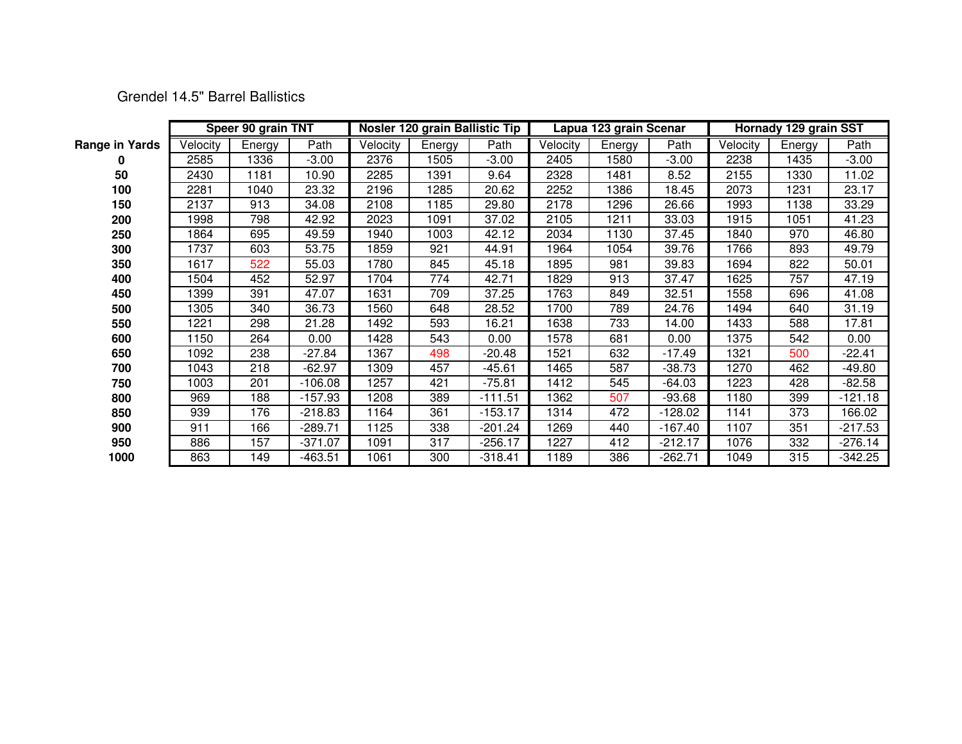Grendel 14.5" Barrel Ballistics

|                       | Speer 90 grain TNT |        |           | Nosler 120 grain Ballistic Tip |        |           |          | Lapua 123 grain Scenar |           | Hornady 129 grain SST |        |           |
|-----------------------|--------------------|--------|-----------|--------------------------------|--------|-----------|----------|------------------------|-----------|-----------------------|--------|-----------|
| <b>Range in Yards</b> | Velocity           | Energy | Path      | Velocity                       | Energy | Path      | Velocity | Energy                 | Path      | Velocity              | Energy | Path      |
| 0                     | 2585               | 1336   | $-3.00$   | 2376                           | 1505   | $-3.00$   | 2405     | 1580                   | $-3.00$   | 2238                  | 1435   | $-3.00$   |
| 50                    | 2430               | 1181   | 10.90     | 2285                           | 1391   | 9.64      | 2328     | 1481                   | 8.52      | 2155                  | 1330   | 11.02     |
| 100                   | 2281               | 1040   | 23.32     | 2196                           | 1285   | 20.62     | 2252     | 1386                   | 18.45     | 2073                  | 1231   | 23.17     |
| 150                   | 2137               | 913    | 34.08     | 2108                           | 1185   | 29.80     | 2178     | 1296                   | 26.66     | 1993                  | 1138   | 33.29     |
| 200                   | 1998               | 798    | 42.92     | 2023                           | 1091   | 37.02     | 2105     | 1211                   | 33.03     | 1915                  | 1051   | 41.23     |
| 250                   | 1864               | 695    | 49.59     | 1940                           | 1003   | 42.12     | 2034     | 1130                   | 37.45     | 1840                  | 970    | 46.80     |
| 300                   | 1737               | 603    | 53.75     | 1859                           | 921    | 44.91     | 1964     | 1054                   | 39.76     | 1766                  | 893    | 49.79     |
| 350                   | 1617               | 522    | 55.03     | 1780                           | 845    | 45.18     | 1895     | 981                    | 39.83     | 1694                  | 822    | 50.01     |
| 400                   | 1504               | 452    | 52.97     | 1704                           | 774    | 42.71     | 1829     | 913                    | 37.47     | 1625                  | 757    | 47.19     |
| 450                   | 1399               | 391    | 47.07     | 1631                           | 709    | 37.25     | 1763     | 849                    | 32.51     | 1558                  | 696    | 41.08     |
| 500                   | 1305               | 340    | 36.73     | 1560                           | 648    | 28.52     | 1700     | 789                    | 24.76     | 1494                  | 640    | 31.19     |
| 550                   | 1221               | 298    | 21.28     | 1492                           | 593    | 16.21     | 1638     | 733                    | 14.00     | 1433                  | 588    | 17.81     |
| 600                   | 1150               | 264    | 0.00      | 1428                           | 543    | 0.00      | 1578     | 681                    | 0.00      | 1375                  | 542    | 0.00      |
| 650                   | 1092               | 238    | $-27.84$  | 1367                           | 498    | $-20.48$  | 1521     | 632                    | $-17.49$  | 1321                  | 500    | $-22.41$  |
| 700                   | 1043               | 218    | $-62.97$  | 1309                           | 457    | $-45.61$  | 1465     | 587                    | $-38.73$  | 1270                  | 462    | -49.80    |
| 750                   | 1003               | 201    | $-106.08$ | 1257                           | 421    | $-75.81$  | 1412     | 545                    | -64.03    | 1223                  | 428    | $-82.58$  |
| 800                   | 969                | 188    | $-157.93$ | 1208                           | 389    | $-111.51$ | 1362     | 507                    | $-93.68$  | 1180                  | 399    | $-121.18$ |
| 850                   | 939                | 176    | $-218.83$ | 1164                           | 361    | $-153.17$ | 1314     | 472                    | $-128.02$ | 1141                  | 373    | 166.02    |
| 900                   | 911                | 166    | $-289.71$ | 1125                           | 338    | -201.24   | 1269     | 440                    | -167.40   | 1107                  | 351    | $-217.53$ |
| 950                   | 886                | 157    | $-371.07$ | 1091                           | 317    | $-256.17$ | 1227     | 412                    | $-212.17$ | 1076                  | 332    | $-276.14$ |
| 1000                  | 863                | 149    | $-463.51$ | 1061                           | 300    | $-318.41$ | 1189     | 386                    | $-262.71$ | 1049                  | 315    | $-342.25$ |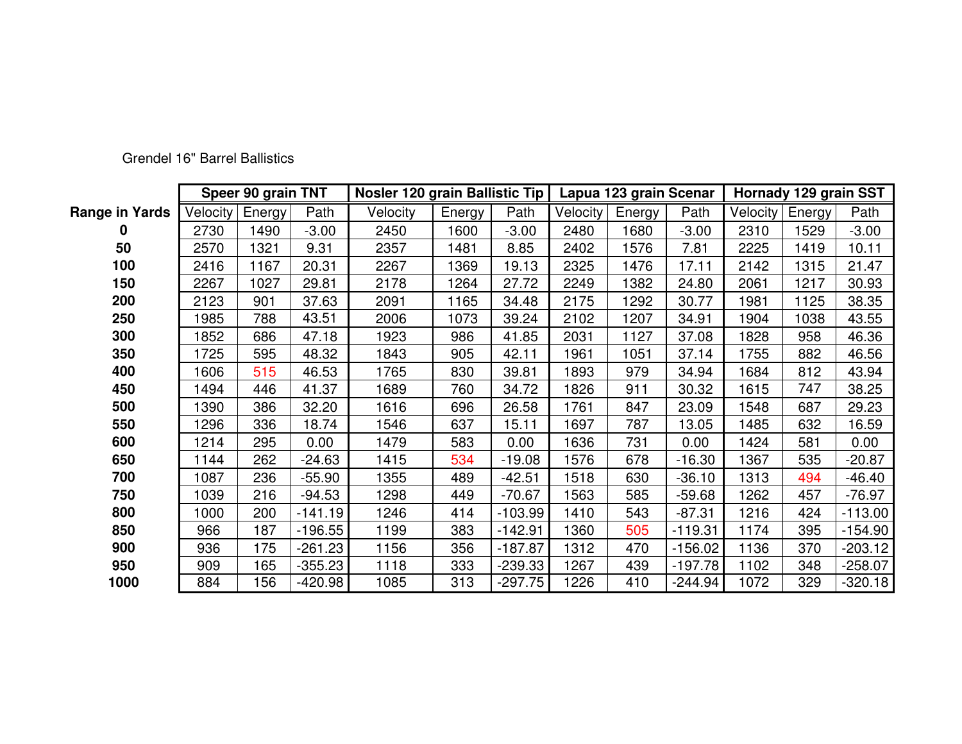|                       | Speer 90 grain TNT |        |           | Nosler 120 grain Ballistic Tip |        |           |          | Lapua 123 grain Scenar |           | Hornady 129 grain SST |        |           |
|-----------------------|--------------------|--------|-----------|--------------------------------|--------|-----------|----------|------------------------|-----------|-----------------------|--------|-----------|
| <b>Range in Yards</b> | Velocity           | Energy | Path      | Velocity                       | Energy | Path      | Velocity | Energy                 | Path      | Velocity              | Energy | Path      |
|                       | 2730               | 1490   | $-3.00$   | 2450                           | 1600   | $-3.00$   | 2480     | 1680                   | $-3.00$   | 2310                  | 1529   | $-3.00$   |
| 50                    | 2570               | 1321   | 9.31      | 2357                           | 1481   | 8.85      | 2402     | 1576                   | 7.81      | 2225                  | 1419   | 10.11     |
| 100                   | 2416               | 1167   | 20.31     | 2267                           | 1369   | 19.13     | 2325     | 476                    | 17.11     | 2142                  | 1315   | 21.47     |
| 150                   | 2267               | 1027   | 29.81     | 2178                           | 1264   | 27.72     | 2249     | 1382                   | 24.80     | 2061                  | 1217   | 30.93     |
| 200                   | 2123               | 901    | 37.63     | 2091                           | 1165   | 34.48     | 2175     | 292                    | 30.77     | 1981                  | 1125   | 38.35     |
| 250                   | 1985               | 788    | 43.51     | 2006                           | 1073   | 39.24     | 2102     | 1207                   | 34.91     | 1904                  | 1038   | 43.55     |
| 300                   | 1852               | 686    | 47.18     | 1923                           | 986    | 41.85     | 2031     | 1127                   | 37.08     | 1828                  | 958    | 46.36     |
| 350                   | 1725               | 595    | 48.32     | 1843                           | 905    | 42.11     | 1961     | 1051                   | 37.14     | 1755                  | 882    | 46.56     |
| 400                   | 1606               | 515    | 46.53     | 1765                           | 830    | 39.81     | 1893     | 979                    | 34.94     | 1684                  | 812    | 43.94     |
| 450                   | 1494               | 446    | 41.37     | 1689                           | 760    | 34.72     | 1826     | 911                    | 30.32     | 1615                  | 747    | 38.25     |
| 500                   | 1390               | 386    | 32.20     | 1616                           | 696    | 26.58     | 1761     | 847                    | 23.09     | 1548                  | 687    | 29.23     |
| 550                   | 1296               | 336    | 18.74     | 1546                           | 637    | 15.11     | 1697     | 787                    | 13.05     | 1485                  | 632    | 16.59     |
| 600                   | 1214               | 295    | 0.00      | 1479                           | 583    | 0.00      | 1636     | 731                    | 0.00      | 1424                  | 581    | 0.00      |
| 650                   | 1144               | 262    | $-24.63$  | 1415                           | 534    | $-19.08$  | 1576     | 678                    | $-16.30$  | 1367                  | 535    | $-20.87$  |
| 700                   | 1087               | 236    | $-55.90$  | 1355                           | 489    | $-42.51$  | 1518     | 630                    | $-36.10$  | 1313                  | 494    | $-46.40$  |
| 750                   | 1039               | 216    | $-94.53$  | 1298                           | 449    | $-70.67$  | 1563     | 585                    | $-59.68$  | 1262                  | 457    | -76.97    |
| 800                   | 1000               | 200    | $-141.19$ | 1246                           | 414    | $-103.99$ | 1410     | 543                    | $-87.31$  | 1216                  | 424    | $-113.00$ |
| 850                   | 966                | 187    | $-196.55$ | 1199                           | 383    | $-142.91$ | 1360     | 505                    | $-119.31$ | 1174                  | 395    | $-154.90$ |
| 900                   | 936                | 175    | $-261.23$ | 1156                           | 356    | $-187.87$ | 1312     | 470                    | $-156.02$ | 1136                  | 370    | $-203.12$ |
| 950                   | 909                | 165    | $-355.23$ | 1118                           | 333    | $-239.33$ | 1267     | 439                    | $-197.78$ | 1102                  | 348    | $-258.07$ |
| 1000                  | 884                | 156    | -420.98   | 1085                           | 313    | $-297.75$ | 1226     | 410                    | -244.94   | 1072                  | 329    | $-320.18$ |

Grendel 16" Barrel Ballistics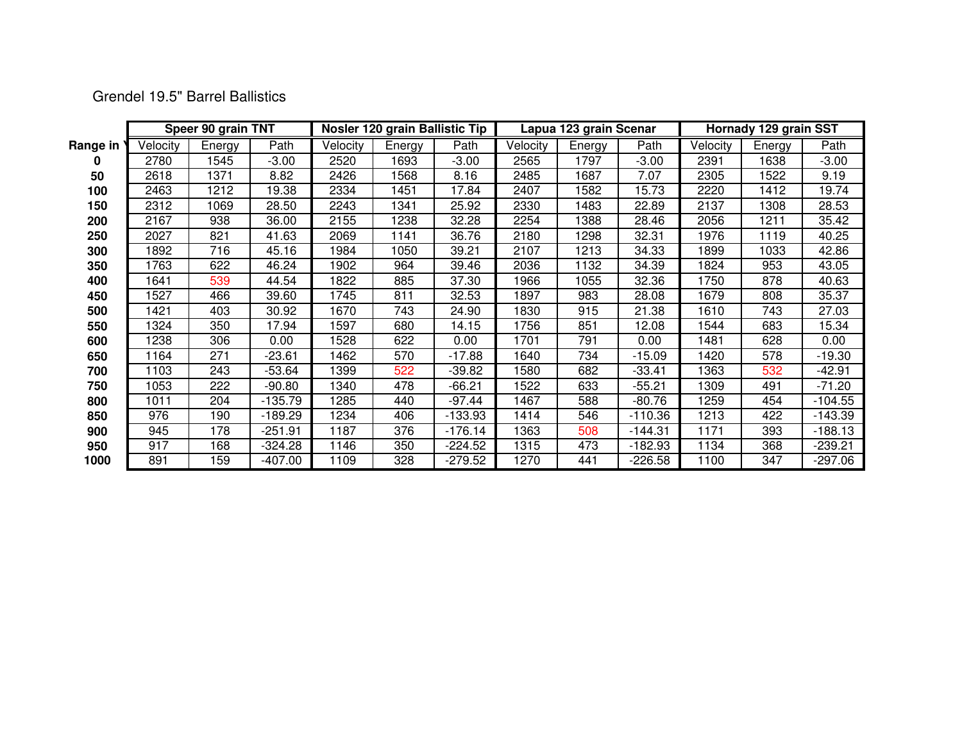|  |  | <b>Grendel 19.5" Barrel Ballistics</b> |
|--|--|----------------------------------------|

|          | Speer 90 grain TNT |        |           |          | Nosler 120 grain Ballistic Tip |           |          | Lapua 123 grain Scenar |           | Hornady 129 grain SST |        |           |
|----------|--------------------|--------|-----------|----------|--------------------------------|-----------|----------|------------------------|-----------|-----------------------|--------|-----------|
| Range in | Velocity           | Energy | Path      | Velocity | Energy                         | Path      | Velocity | Energy                 | Path      | Velocity              | Energy | Path      |
|          | 2780               | 1545   | $-3.00$   | 2520     | 1693                           | $-3.00$   | 2565     | 1797                   | $-3.00$   | 2391                  | 1638   | $-3.00$   |
| 50       | 2618               | 1371   | 8.82      | 2426     | 1568                           | 8.16      | 2485     | 1687                   | 7.07      | 2305                  | 1522   | 9.19      |
| 100      | 2463               | 1212   | 19.38     | 2334     | 1451                           | 7.84      | 2407     | 1582                   | 15.73     | 2220                  | 1412   | 19.74     |
| 150      | 2312               | 1069   | 28.50     | 2243     | 1341                           | 25.92     | 2330     | 1483                   | 22.89     | 2137                  | 1308   | 28.53     |
| 200      | 2167               | 938    | 36.00     | 2155     | 1238                           | 32.28     | 2254     | 1388                   | 28.46     | 2056                  | 1211   | 35.42     |
| 250      | 2027               | 821    | 41.63     | 2069     | 1141                           | 36.76     | 2180     | 1298                   | 32.31     | 1976                  | 1119   | 40.25     |
| 300      | 1892               | 716    | 45.16     | 1984     | 1050                           | 39.21     | 2107     | 1213                   | 34.33     | 1899                  | 1033   | 42.86     |
| 350      | 1763               | 622    | 46.24     | 1902     | 964                            | 39.46     | 2036     | 1132                   | 34.39     | 1824                  | 953    | 43.05     |
| 400      | 1641               | 539    | 44.54     | 1822     | 885                            | 37.30     | 1966     | 1055                   | 32.36     | 1750                  | 878    | 40.63     |
| 450      | 1527               | 466    | 39.60     | 1745     | 811                            | 32.53     | 1897     | 983                    | 28.08     | 1679                  | 808    | 35.37     |
| 500      | 1421               | 403    | 30.92     | 1670     | 743                            | 24.90     | 1830     | 915                    | 21.38     | 1610                  | 743    | 27.03     |
| 550      | 1324               | 350    | 17.94     | 1597     | 680                            | 14.15     | 1756     | 851                    | 12.08     | 1544                  | 683    | 15.34     |
| 600      | 1238               | 306    | 0.00      | 1528     | 622                            | 0.00      | 1701     | 791                    | 0.00      | 1481                  | 628    | 0.00      |
| 650      | 1164               | 271    | $-23.61$  | 1462     | 570                            | $-17.88$  | 1640     | 734                    | $-15.09$  | 1420                  | 578    | $-19.30$  |
| 700      | 1103               | 243    | $-53.64$  | 1399     | 522                            | $-39.82$  | 1580     | 682                    | $-33.41$  | 1363                  | 532    | $-42.91$  |
| 750      | 1053               | 222    | $-90.80$  | 1340     | 478                            | $-66.21$  | 1522     | 633                    | $-55.21$  | 1309                  | 491    | $-71.20$  |
| 800      | 1011               | 204    | $-135.79$ | 1285     | 440                            | -97.44    | 1467     | 588                    | -80.76    | 1259                  | 454    | $-104.55$ |
| 850      | 976                | 190    | -189.29   | 1234     | 406                            | $-133.93$ | 1414     | 546                    | $-110.36$ | 1213                  | 422    | $-143.39$ |
| 900      | 945                | 178    | $-251.91$ | 1187     | 376                            | $-176.14$ | 1363     | 508                    | $-144.31$ | 1171                  | 393    | $-188.13$ |
| 950      | 917                | 168    | $-324.28$ | 1146     | 350                            | $-224.52$ | 1315     | 473                    | $-182.93$ | 1134                  | 368    | $-239.21$ |
| 1000     | 891                | 159    | -407.00   | 1109     | 328                            | -279.52   | 1270     | 441                    | $-226.58$ | 1100                  | 347    | $-297.06$ |